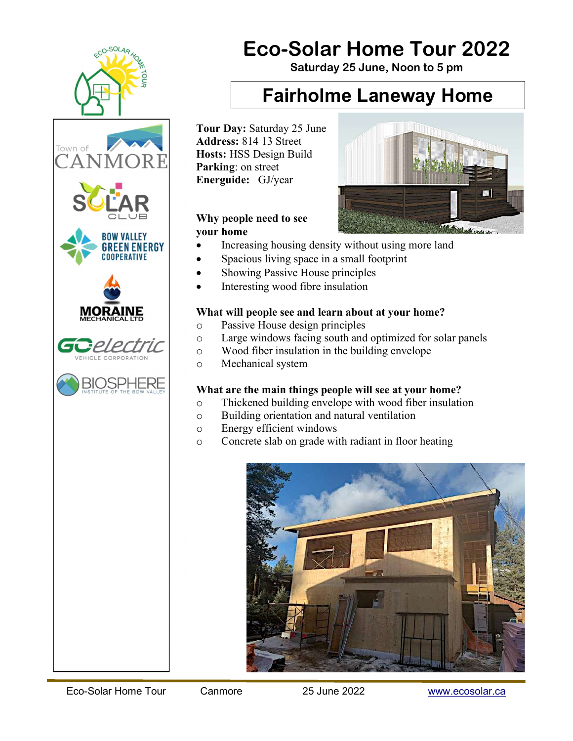





# Eco-Solar Home Tour 2022

Saturday 25 June, Noon to 5 pm

### Fairholme Laneway Home

Tour Day: Saturday 25 June Address: 814 13 Street Hosts: HSS Design Build Parking: on street Energuide: GJ/year

### Why people need to see your home

- Increasing housing density without using more land
- Spacious living space in a small footprint
- Showing Passive House principles
- Interesting wood fibre insulation

### What will people see and learn about at your home?

- o Passive House design principles
- o Large windows facing south and optimized for solar panels
- o Wood fiber insulation in the building envelope
- o Mechanical system

### What are the main things people will see at your home?

- o Thickened building envelope with wood fiber insulation
- o Building orientation and natural ventilation
- o Energy efficient windows
- o Concrete slab on grade with radiant in floor heating



Ñ